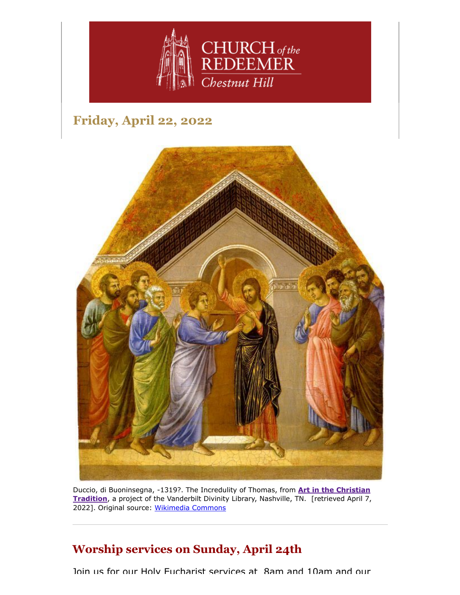

# **Friday, April 22, 2022**



[Duccio, di Buoninsegna, -1319?. The Incredulity of Thomas, from](https://diglib.library.vanderbilt.edu/act-imagelink.pl?RC=54254) **Art in the Christian Tradition**, a project of the Vanderbilt Divinity Library, Nashville, TN. [retrieved April 7, 2022]. Original source: [Wikimedia Commons](http://commons.wikimedia.org/wiki/File:The-Maesta-Altarpiece-The-Incredulity-of-Saint-Thomas-1461_Duccio.jpg.)

## **Worship services on Sunday, April 24th**

Join us for our Holy Eucharist services at 8am and 10am and our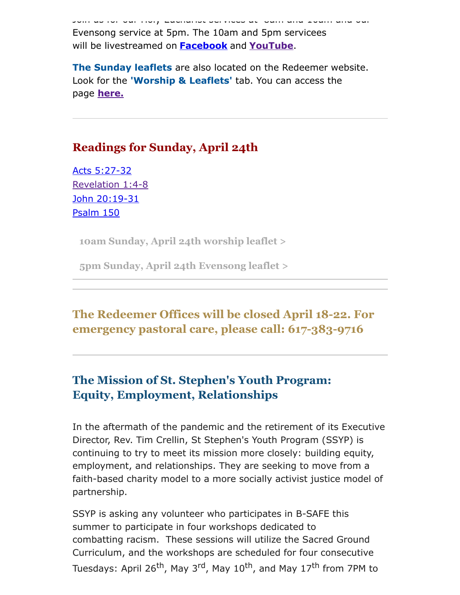Join us for our Holy Eucharist services at 8am and 10am and our Evensong service at 5pm. The 10am and 5pm servicees will be livestreamed on **[Facebook](https://www.facebook.com/redeemerchestnuthill)** and **[YouTube](https://www.youtube.com/channel/UCuF2ATr93WfFYaj4XlyKKDw)**.

**The Sunday leaflets** are also located on the Redeemer website. Look for the **'Worship & Leaflets'** tab. You can access the page **[here.](https://www.redeemerchestnuthill.org/worship-services)**

### **Readings for Sunday, April 24th**

[Acts 5:27-32](https://lectionarypage.net/YearC_RCL/Easter/CEaster2_RCL.html#ot1) [Revelation 1:4-8](https://lectionarypage.net/YearC_RCL/Easter/CEaster2_RCL.html#nt1) [John 20:19-31](https://lectionarypage.net/YearC_RCL/Easter/CEaster2_RCL.html#gsp1) [Psalm 150](https://lectionarypage.net/YearC_RCL/Easter/CEaster2_RCL.html#ps2)

**[10am Sunday, April 24th worship leaflet >](https://drive.google.com/file/d/1gywqZgYG5ARvJaFn9SCSxFtS53kPpLPe/view?usp=sharing)**

**[5pm Sunday, April 24th Evensong leaflet >](https://drive.google.com/file/d/1gdLhcXFL5MMbUqCPQchhQdP_p6IIx_tC/view?usp=sharing)**

## **The Redeemer Offices will be closed April 18-22. For emergency pastoral care, please call: 617-383-9716**

## **The Mission of St. Stephen's Youth Program: Equity, Employment, Relationships**

In the aftermath of the pandemic and the retirement of its Executive Director, Rev. Tim Crellin, St Stephen's Youth Program (SSYP) is continuing to try to meet its mission more closely: building equity, employment, and relationships. They are seeking to move from a faith-based charity model to a more socially activist justice model of partnership.

SSYP is asking any volunteer who participates in B-SAFE this summer to participate in four workshops dedicated to combatting racism. These sessions will utilize the Sacred Ground Curriculum, and the workshops are scheduled for four consecutive Tuesdays: April 26<sup>th</sup>, May 3<sup>rd</sup>, May 10<sup>th</sup>, and May 17<sup>th</sup> from 7PM to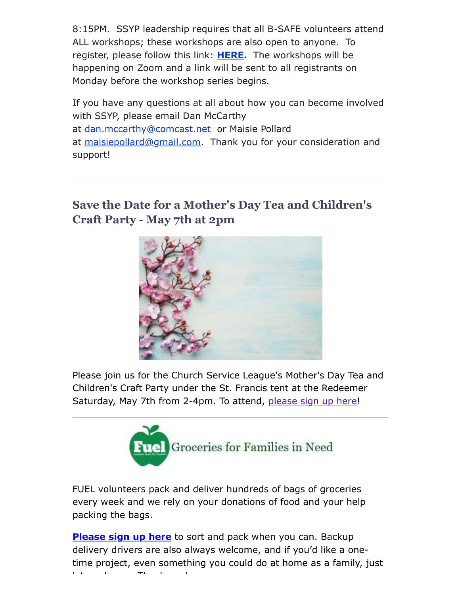8:15PM. SSYP leadership requires that all B-SAFE volunteers attend ALL workshops; these workshops are also open to anyone. To register, please follow this link: **[HERE.](https://docs.google.com/forms/d/e/1FAIpQLSfAD1ezAX56tgbB2HXgmFFGvi60o5jbZdL8W4KDBOkwGSCAwg/viewform?vc=0&c=0&w=1&flr=0)** The workshops will be happening on Zoom and a link will be sent to all registrants on Monday before the workshop series begins.

If you have any questions at all about how you can become involved with SSYP, please email Dan McCarthy at [dan.mccarthy@comcast.net](mailto:dan.mccarthy@comcast.net) or Maisie Pollard at [maisiepollard@gmail.com.](mailto:maisiepollard@gmail.com) Thank you for your consideration and support!

# **Save the Date for a Mother's Day Tea and Children's Craft Party - May 7th at 2pm**



Please join us for the Church Service League's Mother's Day Tea and Children's Craft Party under the St. Francis tent at the Redeemer Saturday, May 7th from 2-4pm. To attend, [please sign up here](https://www.signupgenius.com/go/4090C4FACAA23A4FD0-church)!



FUEL volunteers pack and deliver hundreds of bags of groceries every week and we rely on your donations of food and your help packing the bags.

**[Please sign up here](https://signup.com/go/FNGHQhR)** to sort and pack when you can. Backup delivery drivers are also always welcome, and if you'd like a onetime project, even something you could do at home as a family, just l t k Th k !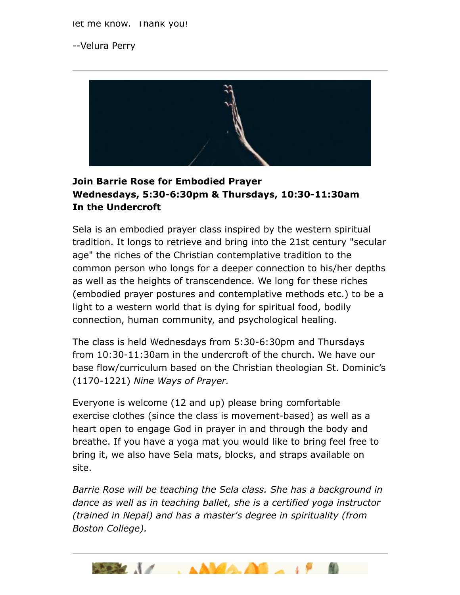let me know. I hank you!

--Velura Perry



#### **Join Barrie Rose for Embodied Prayer Wednesdays, 5:30-6:30pm & Thursdays, 10:30-11:30am In the Undercroft**

Sela is an embodied prayer class inspired by the western spiritual tradition. It longs to retrieve and bring into the 21st century "secular age" the riches of the Christian contemplative tradition to the common person who longs for a deeper connection to his/her depths as well as the heights of transcendence. We long for these riches (embodied prayer postures and contemplative methods etc.) to be a light to a western world that is dying for spiritual food, bodily connection, human community, and psychological healing.

The class is held Wednesdays from 5:30-6:30pm and Thursdays from 10:30-11:30am in the undercroft of the church. We have our base flow/curriculum based on the Christian theologian St. Dominic's (1170-1221) *Nine Ways of Prayer.*

Everyone is welcome (12 and up) please bring comfortable exercise clothes (since the class is movement-based) as well as a heart open to engage God in prayer in and through the body and breathe. If you have a yoga mat you would like to bring feel free to bring it, we also have Sela mats, blocks, and straps available on site.

*Barrie Rose will be teaching the Sela class. She has a background in dance as well as in teaching ballet, she is a certified yoga instructor (trained in Nepal) and has a master's degree in spirituality (from Boston College).*

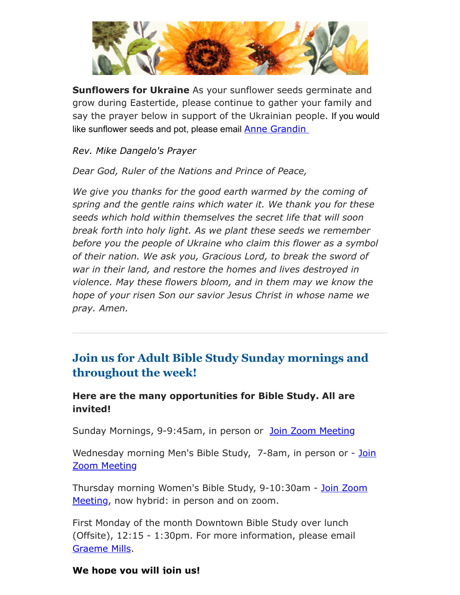

**Sunflowers for Ukraine** As your sunflower seeds germinate and grow during Eastertide, please continue to gather your family and say the prayer below in support of the Ukrainian people. If you would like sunflower seeds and pot, please email **[Anne Grandin](mailto:annegrandin@icloud.com)** 

*Rev. Mike Dangelo's Prayer*

*Dear God, Ruler of the Nations and Prince of Peace,*

*We give you thanks for the good earth warmed by the coming of spring and the gentle rains which water it. We thank you for these seeds which hold within themselves the secret life that will soon break forth into holy light. As we plant these seeds we remember before you the people of Ukraine who claim this flower as a symbol of their nation. We ask you, Gracious Lord, to break the sword of war in their land, and restore the homes and lives destroyed in violence. May these flowers bloom, and in them may we know the hope of your risen Son our savior Jesus Christ in whose name we pray. Amen.*

## **Join us for Adult Bible Study Sunday mornings and throughout the week!**

#### **Here are the many opportunities for Bible Study. All are invited!**

Sunday Mornings, 9-9:45am, in person or [Join Zoom Meeting](https://us02web.zoom.us/j/86566228912?pwd=aGxWTU1PU3Y3TDZsVTdmbXg2UnNvZz09)

[Wednesday morning Men's Bible Study, 7-8am,](https://us02web.zoom.us/j/89392200698?pwd=czIzYmlKT1JCRmkrdlBFM2lJaGdkZz09) in person or - Join Zoom Meeting

[Thursday morning Women's Bible Study, 9-10:30am - Join Zoom](https://us02web.zoom.us/j/82431832126?pwd=ZXBLQUFnL2haSEZyWll3b0R0MEpmUT09#success#success) Meeting, now hybrid: in person and on zoom.

First Monday of the month Downtown Bible Study over lunch (Offsite), 12:15 - 1:30pm. For more information, please email [Graeme Mills](mailto:gmills@cambridgeassociates.com).

#### **We hope you will join us!**